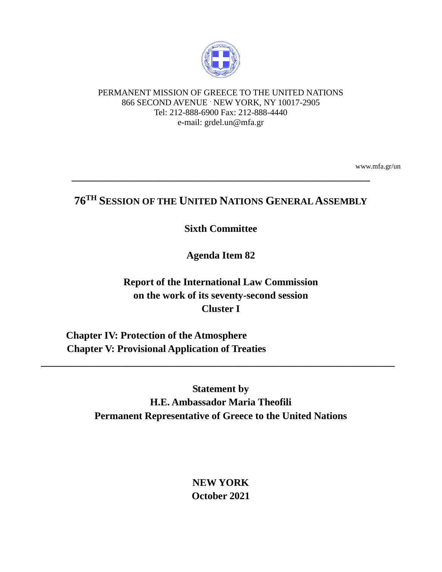

#### PERMANENT MISSION OF GREECE TO THE UNITED NATIONS 866 SECOND AVENUE . NEW YORK, NY 10017-2905 Tel: 212-888-6900 Fax: 212-888-4440 e-mail: grdel.un@mfa.gr

www.mfa.gr/un

# **76TH SESSION OF THE UNITED NATIONS GENERAL ASSEMBLY**

**\_\_\_\_\_\_\_\_\_\_\_\_\_\_\_\_\_\_\_\_\_\_\_\_\_\_\_\_\_\_\_\_\_\_\_\_\_\_\_\_\_\_\_\_\_\_\_\_\_\_\_\_\_\_\_\_\_\_\_**

## **Sixth Committee**

# **Agenda Item 82**

**Report of the International Law Commission on the work of its seventy-second session Cluster I**

 **Chapter IV: Protection of the Atmosphere Chapter V: Provisional Application of Treaties**

> **Statement by H.E. Ambassador Maria Theofili Permanent Representative of Greece to the United Nations**

**\_\_\_\_\_\_\_\_\_\_\_\_\_\_\_\_\_\_\_\_\_\_\_\_\_\_\_\_\_\_\_\_\_\_\_\_\_\_\_\_\_\_\_\_\_\_\_\_\_\_\_\_\_\_\_\_\_\_\_\_\_\_\_\_\_\_\_\_\_\_**

**NEW YORK October 2021**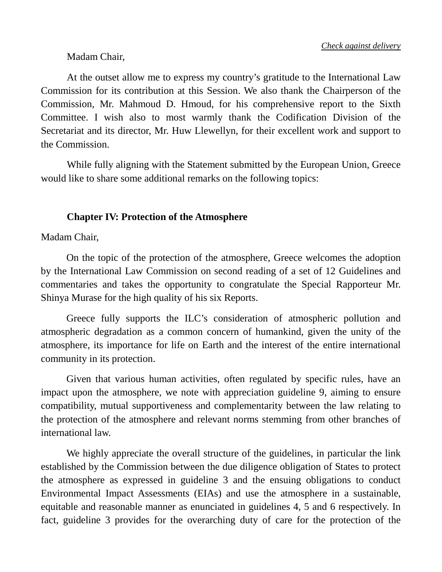### Madam Chair,

At the outset allow me to express my country's gratitude to the International Law Commission for its contribution at this Session. We also thank the Chairperson of the Commission, Mr. Mahmoud D. Hmoud, for his comprehensive report to the Sixth Committee. I wish also to most warmly thank the Codification Division of the Secretariat and its director, Mr. Huw Llewellyn, for their excellent work and support to the Commission.

While fully aligning with the Statement submitted by the European Union, Greece would like to share some additional remarks on the following topics:

#### **Chapter IV: Protection of the Atmosphere**

Madam Chair,

On the topic of the protection of the atmosphere, Greece welcomes the adoption by the International Law Commission on second reading of a set of 12 Guidelines and commentaries and takes the opportunity to congratulate the Special Rapporteur Mr. Shinya Murase for the high quality of his six Reports.

Greece fully supports the ILC's consideration of atmospheric pollution and atmospheric degradation as a common concern of humankind, given the unity of the atmosphere, its importance for life on Earth and the interest of the entire international community in its protection.

Given that various human activities, often regulated by specific rules, have an impact upon the atmosphere, we note with appreciation guideline 9, aiming to ensure compatibility, mutual supportiveness and complementarity between the law relating to the protection of the atmosphere and relevant norms stemming from other branches of international law.

We highly appreciate the overall structure of the guidelines, in particular the link established by the Commission between the due diligence obligation of States to protect the atmosphere as expressed in guideline 3 and the ensuing obligations to conduct Environmental Impact Assessments (EIAs) and use the atmosphere in a sustainable, equitable and reasonable manner as enunciated in guidelines 4, 5 and 6 respectively. In fact, guideline 3 provides for the overarching duty of care for the protection of the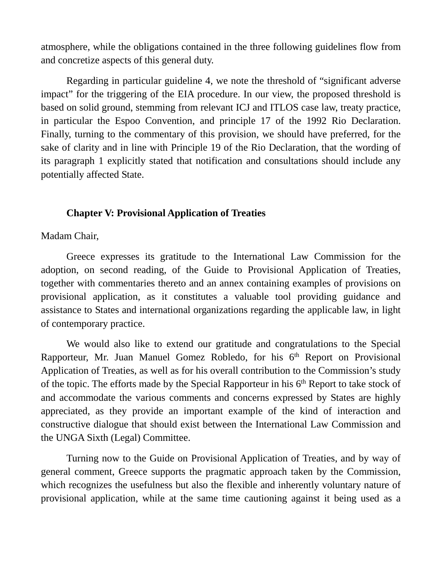atmosphere, while the obligations contained in the three following guidelines flow from and concretize aspects of this general duty.

Regarding in particular guideline 4, we note the threshold of "significant adverse impact" for the triggering of the EIA procedure. In our view, the proposed threshold is based on solid ground, stemming from relevant ICJ and ITLOS case law, treaty practice, in particular the Espoo Convention, and principle 17 of the 1992 Rio Declaration. Finally, turning to the commentary of this provision, we should have preferred, for the sake of clarity and in line with Principle 19 of the Rio Declaration, that the wording of its paragraph 1 explicitly stated that notification and consultations should include any potentially affected State.

## **Chapter V: Provisional Application of Treaties**

Madam Chair,

Greece expresses its gratitude to the International Law Commission for the adoption, on second reading, of the Guide to Provisional Application of Treaties, together with commentaries thereto and an annex containing examples of provisions on provisional application, as it constitutes a valuable tool providing guidance and assistance to States and international organizations regarding the applicable law, in light of contemporary practice.

We would also like to extend our gratitude and congratulations to the Special Rapporteur, Mr. Juan Manuel Gomez Robledo, for his  $6<sup>th</sup>$  Report on Provisional Application of Treaties, as well as for his overall contribution to the Commission's study of the topic. The efforts made by the Special Rapporteur in his 6th Report to take stock of and accommodate the various comments and concerns expressed by States are highly appreciated, as they provide an important example of the kind of interaction and constructive dialogue that should exist between the International Law Commission and the UNGA Sixth (Legal) Committee.

Turning now to the Guide on Provisional Application of Treaties, and by way of general comment, Greece supports the pragmatic approach taken by the Commission, which recognizes the usefulness but also the flexible and inherently voluntary nature of provisional application, while at the same time cautioning against it being used as a